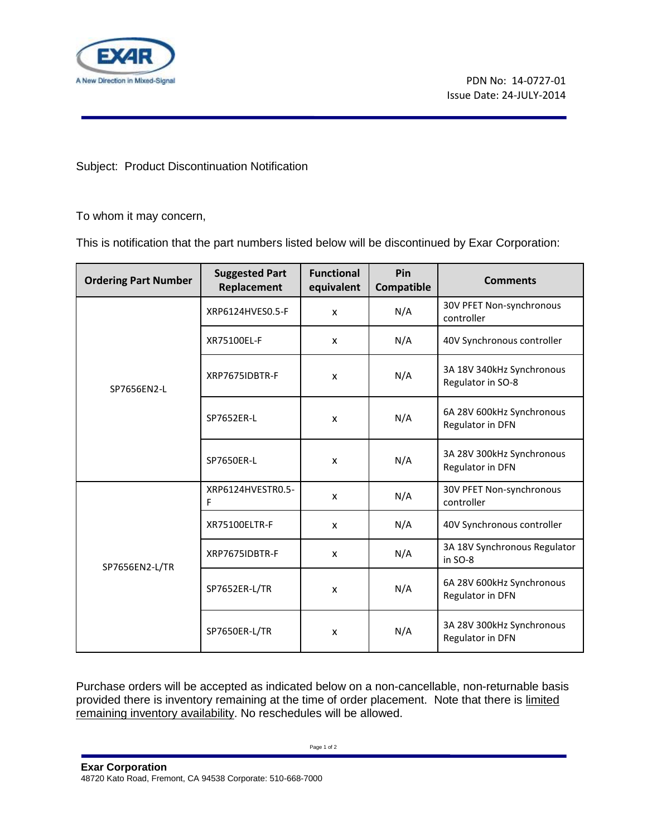

Subject: Product Discontinuation Notification

To whom it may concern,

This is notification that the part numbers listed below will be discontinued by Exar Corporation:

| <b>Ordering Part Number</b> | <b>Suggested Part</b><br>Replacement | <b>Functional</b><br>equivalent | Pin<br>Compatible | <b>Comments</b>                                |
|-----------------------------|--------------------------------------|---------------------------------|-------------------|------------------------------------------------|
| SP7656EN2-L                 | XRP6124HVES0.5-F                     | $\mathsf{x}$                    | N/A               | 30V PFET Non-synchronous<br>controller         |
|                             | XR75100EL-F                          | X                               | N/A               | 40V Synchronous controller                     |
|                             | XRP7675IDBTR-F                       | X                               | N/A               | 3A 18V 340kHz Synchronous<br>Regulator in SO-8 |
|                             | SP7652ER-L                           | X                               | N/A               | 6A 28V 600kHz Synchronous<br>Regulator in DFN  |
|                             | SP7650ER-L                           | X                               | N/A               | 3A 28V 300kHz Synchronous<br>Regulator in DFN  |
| SP7656EN2-L/TR              | XRP6124HVESTR0.5-<br>F               | $\boldsymbol{\mathsf{x}}$       | N/A               | 30V PFET Non-synchronous<br>controller         |
|                             | XR75100ELTR-F                        | X                               | N/A               | 40V Synchronous controller                     |
|                             | XRP7675IDBTR-F                       | $\mathsf{x}$                    | N/A               | 3A 18V Synchronous Regulator<br>in SO-8        |
|                             | SP7652ER-L/TR                        | X                               | N/A               | 6A 28V 600kHz Synchronous<br>Regulator in DFN  |
|                             | SP7650ER-L/TR                        | X                               | N/A               | 3A 28V 300kHz Synchronous<br>Regulator in DFN  |

Purchase orders will be accepted as indicated below on a non-cancellable, non-returnable basis provided there is inventory remaining at the time of order placement. Note that there is limited remaining inventory availability. No reschedules will be allowed.

Page 1 of 2